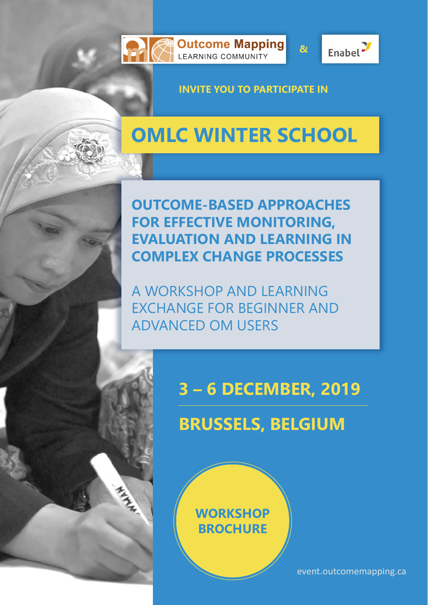





**&**

**INVITE YOU TO PARTICIPATE IN**

# **OMLC WINTER SCHOOL**

**OUTCOME-BASED APPROACHES FOR EFFECTIVE MONITORING, EVALUATION AND LEARNING IN COMPLEX CHANGE PROCESSES**

A WORKSHOP AND LEARNING EXCHANGE FOR BEGINNER AND ADVANCED OM USERS

## **3 – 6 DECEMBER, 2019**

# **BRUSSELS, BELGIUM**

### **[WORKSHOP](https://goo.gl/forms/Xh3WvJ4W7qXyPtO72)  BROCHURE**

[event.outcomemapping.ca](http://event.outcomemapping.ca/)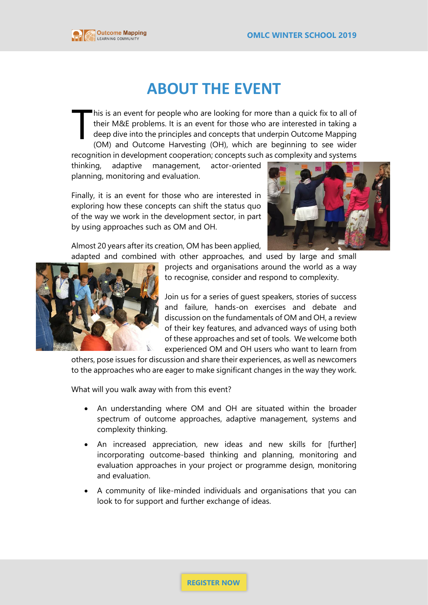

### **ABOUT THE EVENT**

his is an event for people who are looking for more than a quick fix to all of their M&E problems. It is an event for those who are interested in taking a deep dive into the principles and concepts that underpin Outcome Mapping (OM) and Outcome Harvesting (OH), which are beginning to see wider T

recognition in development cooperation; concepts such as complexity and systems thinking, adaptive management, actor-oriented planning, monitoring and evaluation.

Finally, it is an event for those who are interested in exploring how these concepts can shift the status quo of the way we work in the development sector, in part by using approaches such as OM and OH.



Almost 20 years after its creation, OM has been applied, adapted and combined with other approaches, and used by large and small

projects and organisations around the world as a way to recognise, consider and respond to complexity.

Join us for a series of guest speakers, stories of success and failure, hands-on exercises and debate and discussion on the fundamentals of OM and OH, a review of their key features, and advanced ways of using both of these approaches and set of tools. We welcome both experienced OM and OH users who want to learn from

others, pose issues for discussion and share their experiences, as well as newcomers to the approaches who are eager to make significant changes in the way they work.

What will you walk away with from this event?

- An understanding where OM and OH are situated within the broader spectrum of outcome approaches, adaptive management, systems and complexity thinking.
- An increased appreciation, new ideas and new skills for [further] incorporating outcome-based thinking and planning, monitoring and evaluation approaches in your project or programme design, monitoring and evaluation.
- A community of like-minded individuals and organisations that you can look to for support and further exchange of ideas.

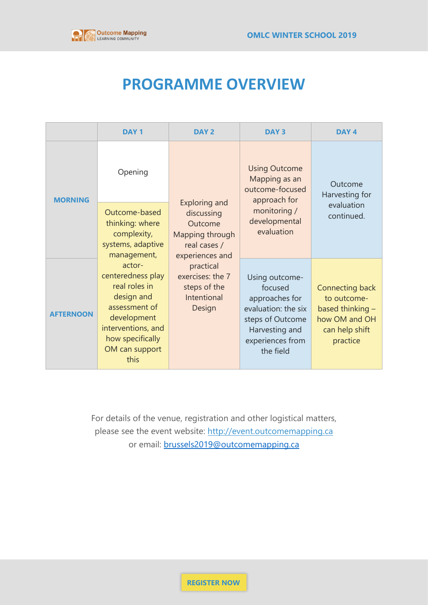

### **PROGRAMME OVERVIEW**

|                  | <b>DAY1</b>                                                                                                                                                    | DAY <sub>2</sub>                                                                                                                                                              | <b>DAY3</b>                                                                                                                               | DAY <sub>4</sub>                                                                                    |
|------------------|----------------------------------------------------------------------------------------------------------------------------------------------------------------|-------------------------------------------------------------------------------------------------------------------------------------------------------------------------------|-------------------------------------------------------------------------------------------------------------------------------------------|-----------------------------------------------------------------------------------------------------|
| <b>MORNING</b>   | Opening                                                                                                                                                        | <b>Exploring and</b><br>discussing<br>Outcome<br>Mapping through<br>real cases /<br>experiences and<br>practical<br>exercises: the 7<br>steps of the<br>Intentional<br>Design | <b>Using Outcome</b><br>Mapping as an<br>outcome-focused<br>approach for<br>monitoring /<br>developmental<br>evaluation                   | Outcome<br>Harvesting for<br>evaluation<br>continued.                                               |
|                  | Outcome-based<br>thinking: where<br>complexity,<br>systems, adaptive<br>management,                                                                            |                                                                                                                                                                               |                                                                                                                                           |                                                                                                     |
| <b>AFTERNOON</b> | actor-<br>centeredness play<br>real roles in<br>design and<br>assessment of<br>development<br>interventions, and<br>how specifically<br>OM can support<br>this |                                                                                                                                                                               | Using outcome-<br>focused<br>approaches for<br>evaluation: the six<br>steps of Outcome<br>Harvesting and<br>experiences from<br>the field | Connecting back<br>to outcome-<br>based thinking $-$<br>how OM and OH<br>can help shift<br>practice |

For details of the venue, registration and other logistical matters, please see the event website: [http://event.outcomemapping.ca](http://event.outcomemapping.ca/) or email: [brussels2019@outcomemapping.ca](mailto:brussels2019@outcomemapping.ca)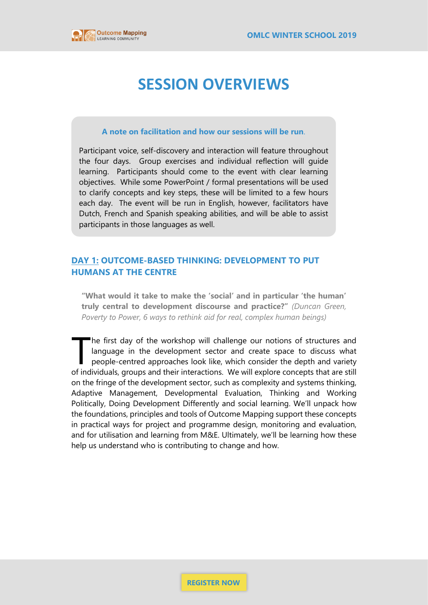

### **SESSION OVERVIEWS**

#### **A note on facilitation and how our sessions will be run**.

Participant voice, self-discovery and interaction will feature throughout the four days. Group exercises and individual reflection will guide learning. Participants should come to the event with clear learning objectives. While some PowerPoint / formal presentations will be used to clarify concepts and key steps, these will be limited to a few hours each day. The event will be run in English, however, facilitators have Dutch, French and Spanish speaking abilities, and will be able to assist participants in those languages as well.

#### **DAY 1: OUTCOME-BASED THINKING: DEVELOPMENT TO PUT HUMANS AT THE CENTRE**

**"What would it take to make the 'social' and in particular 'the human' truly central to development discourse and practice?"** *(Duncan Green, Poverty to Power, 6 ways to rethink aid for real, complex human beings)*

he first day of the workshop will challenge our notions of structures and language in the development sector and create space to discuss what people-centred approaches look like, which consider the depth and variety of individuals, groups and their interactions. We will explore concepts that are still on the fringe of the development sector, such as complexity and systems thinking, Adaptive Management, Developmental Evaluation, Thinking and Working Politically, Doing Development Differently and social learning. We'll unpack how the foundations, principles and tools of Outcome Mapping support these concepts in practical ways for project and programme design, monitoring and evaluation, and for utilisation and learning from M&E. Ultimately, we'll be learning how these help us understand who is contributing to change and how. T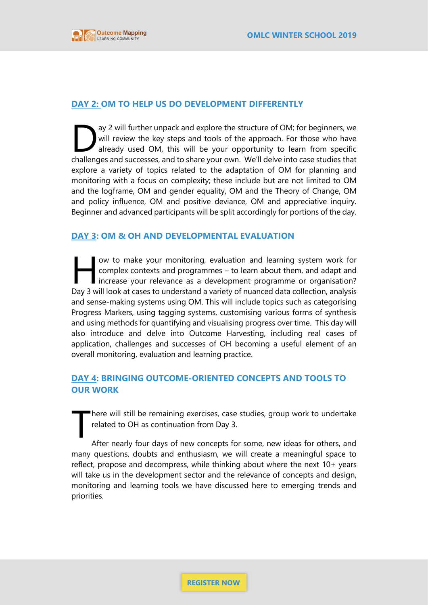

#### **DAY 2: OM TO HELP US DO DEVELOPMENT DIFFERENTLY**

ay 2 will further unpack and explore the structure of OM; for beginners, we will review the key steps and tools of the approach. For those who have already used OM, this will be your opportunity to learn from specific challenges and successes, and to share your own. We'll delve into case studies that explore a variety of topics related to the adaptation of OM for planning and monitoring with a focus on complexity; these include but are not limited to OM and the logframe, OM and gender equality, OM and the Theory of Change, OM and policy influence, OM and positive deviance, OM and appreciative inquiry. Beginner and advanced participants will be split accordingly for portions of the day. D

#### **DAY 3: OM & OH AND DEVELOPMENTAL EVALUATION**

ow to make your monitoring, evaluation and learning system work for complex contexts and programmes – to learn about them, and adapt and increase your relevance as a development programme or organisation? Day 3 will look at cases to understand a variety of nuanced data collection, analysis and sense-making systems using OM. This will include topics such as categorising Progress Markers, using tagging systems, customising various forms of synthesis and using methods for quantifying and visualising progress over time. This day will also introduce and delve into Outcome Harvesting, including real cases of application, challenges and successes of OH becoming a useful element of an overall monitoring, evaluation and learning practice.  $H$ 

#### **DAY 4: BRINGING OUTCOME-ORIENTED CONCEPTS AND TOOLS TO OUR WORK**

here will still be remaining exercises, case studies, group work to undertake related to OH as continuation from Day 3.

After nearly four days of new concepts for some, new ideas for others, and many questions, doubts and enthusiasm, we will create a meaningful space to reflect, propose and decompress, while thinking about where the next 10+ years will take us in the development sector and the relevance of concepts and design, monitoring and learning tools we have discussed here to emerging trends and priorities. T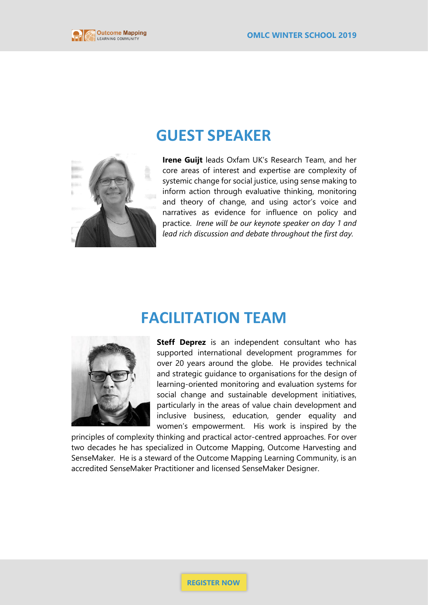

### **GUEST SPEAKER**



**Irene Guijt** leads Oxfam UK's Research Team, and her core areas of interest and expertise are complexity of systemic change for social justice, using sense making to inform action through evaluative thinking, monitoring and theory of change, and using actor's voice and narratives as evidence for influence on policy and practice. *Irene will be our keynote speaker on day 1 and lead rich discussion and debate throughout the first day.*

### **FACILITATION TEAM**



**Steff Deprez** is an independent consultant who has supported international development programmes for over 20 years around the globe. He provides technical and strategic guidance to organisations for the design of learning-oriented monitoring and evaluation systems for social change and sustainable development initiatives, particularly in the areas of value chain development and inclusive business, education, gender equality and women's empowerment. His work is inspired by the

principles of complexity thinking and practical actor-centred approaches. For over two decades he has specialized in Outcome Mapping, Outcome Harvesting and SenseMaker. He is a steward of the Outcome Mapping Learning Community, is an accredited SenseMaker Practitioner and licensed SenseMaker Designer.